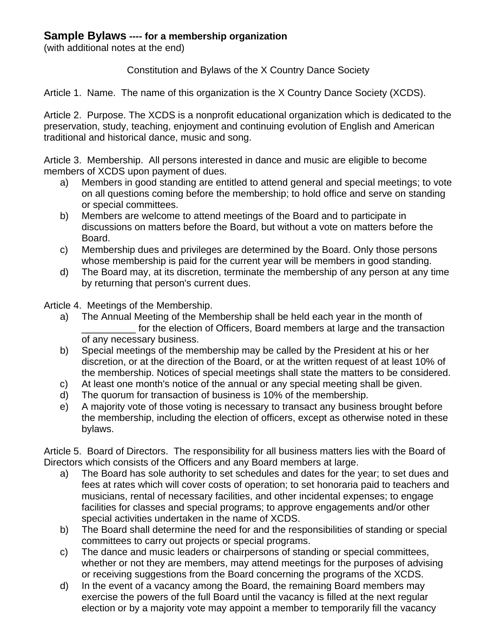## **Sample Bylaws ---- for a membership organization**

(with additional notes at the end)

Constitution and Bylaws of the X Country Dance Society

Article 1. Name. The name of this organization is the X Country Dance Society (XCDS).

Article 2. Purpose. The XCDS is a nonprofit educational organization which is dedicated to the preservation, study, teaching, enjoyment and continuing evolution of English and American traditional and historical dance, music and song.

Article 3. Membership. All persons interested in dance and music are eligible to become members of XCDS upon payment of dues.

- a) Members in good standing are entitled to attend general and special meetings; to vote on all questions coming before the membership; to hold office and serve on standing or special committees.
- b) Members are welcome to attend meetings of the Board and to participate in discussions on matters before the Board, but without a vote on matters before the Board.
- c) Membership dues and privileges are determined by the Board. Only those persons whose membership is paid for the current year will be members in good standing.
- d) The Board may, at its discretion, terminate the membership of any person at any time by returning that person's current dues.

Article 4. Meetings of the Membership.

- a) The Annual Meeting of the Membership shall be held each year in the month of for the election of Officers, Board members at large and the transaction of any necessary business.
- b) Special meetings of the membership may be called by the President at his or her discretion, or at the direction of the Board, or at the written request of at least 10% of the membership. Notices of special meetings shall state the matters to be considered.
- c) At least one month's notice of the annual or any special meeting shall be given.
- d) The quorum for transaction of business is 10% of the membership.
- e) A majority vote of those voting is necessary to transact any business brought before the membership, including the election of officers, except as otherwise noted in these bylaws.

Article 5. Board of Directors. The responsibility for all business matters lies with the Board of Directors which consists of the Officers and any Board members at large.

- a) The Board has sole authority to set schedules and dates for the year; to set dues and fees at rates which will cover costs of operation; to set honoraria paid to teachers and musicians, rental of necessary facilities, and other incidental expenses; to engage facilities for classes and special programs; to approve engagements and/or other special activities undertaken in the name of XCDS.
- b) The Board shall determine the need for and the responsibilities of standing or special committees to carry out projects or special programs.
- c) The dance and music leaders or chairpersons of standing or special committees, whether or not they are members, may attend meetings for the purposes of advising or receiving suggestions from the Board concerning the programs of the XCDS.
- d) In the event of a vacancy among the Board, the remaining Board members may exercise the powers of the full Board until the vacancy is filled at the next regular election or by a majority vote may appoint a member to temporarily fill the vacancy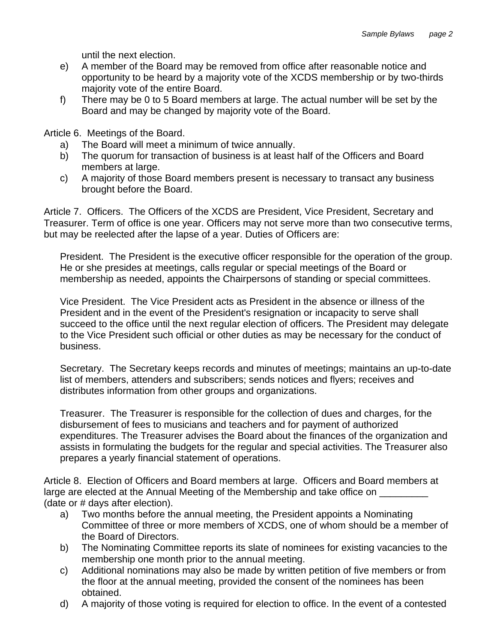until the next election.

- e) A member of the Board may be removed from office after reasonable notice and opportunity to be heard by a majority vote of the XCDS membership or by two-thirds majority vote of the entire Board.
- f) There may be 0 to 5 Board members at large. The actual number will be set by the Board and may be changed by majority vote of the Board.

Article 6. Meetings of the Board.

- a) The Board will meet a minimum of twice annually.
- b) The quorum for transaction of business is at least half of the Officers and Board members at large.
- c) A majority of those Board members present is necessary to transact any business brought before the Board.

Article 7. Officers. The Officers of the XCDS are President, Vice President, Secretary and Treasurer. Term of office is one year. Officers may not serve more than two consecutive terms, but may be reelected after the lapse of a year. Duties of Officers are:

President. The President is the executive officer responsible for the operation of the group. He or she presides at meetings, calls regular or special meetings of the Board or membership as needed, appoints the Chairpersons of standing or special committees.

Vice President. The Vice President acts as President in the absence or illness of the President and in the event of the President's resignation or incapacity to serve shall succeed to the office until the next regular election of officers. The President may delegate to the Vice President such official or other duties as may be necessary for the conduct of business.

Secretary. The Secretary keeps records and minutes of meetings; maintains an up-to-date list of members, attenders and subscribers; sends notices and flyers; receives and distributes information from other groups and organizations.

Treasurer. The Treasurer is responsible for the collection of dues and charges, for the disbursement of fees to musicians and teachers and for payment of authorized expenditures. The Treasurer advises the Board about the finances of the organization and assists in formulating the budgets for the regular and special activities. The Treasurer also prepares a yearly financial statement of operations.

Article 8. Election of Officers and Board members at large. Officers and Board members at large are elected at the Annual Meeting of the Membership and take office on (date or # days after election).

- a) Two months before the annual meeting, the President appoints a Nominating Committee of three or more members of XCDS, one of whom should be a member of the Board of Directors.
- b) The Nominating Committee reports its slate of nominees for existing vacancies to the membership one month prior to the annual meeting.
- c) Additional nominations may also be made by written petition of five members or from the floor at the annual meeting, provided the consent of the nominees has been obtained.
- d) A majority of those voting is required for election to office. In the event of a contested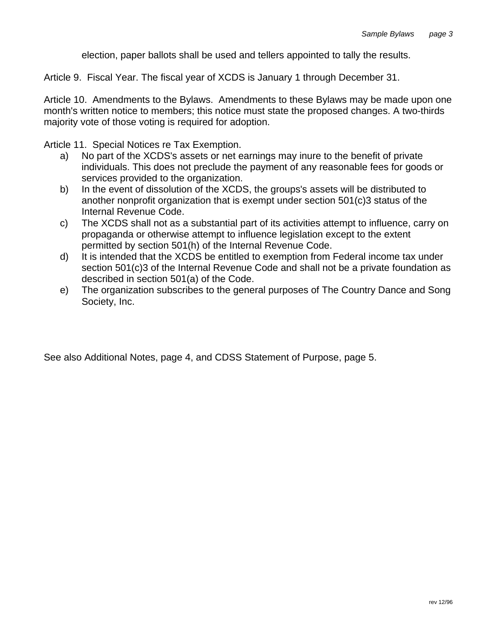election, paper ballots shall be used and tellers appointed to tally the results.

Article 9. Fiscal Year. The fiscal year of XCDS is January 1 through December 31.

Article 10. Amendments to the Bylaws. Amendments to these Bylaws may be made upon one month's written notice to members; this notice must state the proposed changes. A two-thirds majority vote of those voting is required for adoption.

Article 11. Special Notices re Tax Exemption.

- a) No part of the XCDS's assets or net earnings may inure to the benefit of private individuals. This does not preclude the payment of any reasonable fees for goods or services provided to the organization.
- b) In the event of dissolution of the XCDS, the groups's assets will be distributed to another nonprofit organization that is exempt under section 501(c)3 status of the Internal Revenue Code.
- c) The XCDS shall not as a substantial part of its activities attempt to influence, carry on propaganda or otherwise attempt to influence legislation except to the extent permitted by section 501(h) of the Internal Revenue Code.
- d) It is intended that the XCDS be entitled to exemption from Federal income tax under section 501(c)3 of the Internal Revenue Code and shall not be a private foundation as described in section 501(a) of the Code.
- e) The organization subscribes to the general purposes of The Country Dance and Song Society, Inc.

See also Additional Notes, page 4, and CDSS Statement of Purpose, page 5.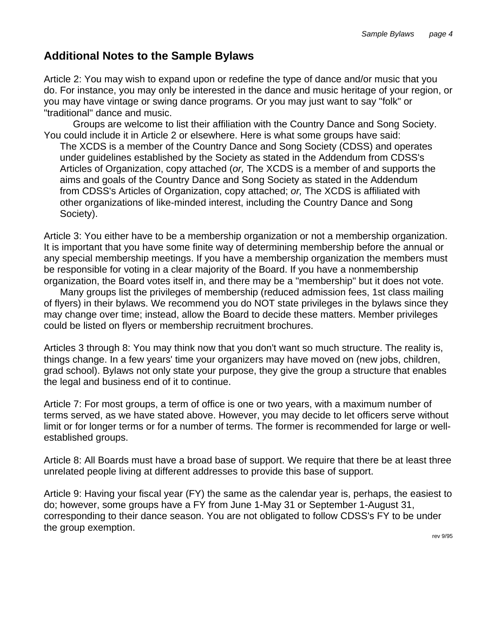## **Additional Notes to the Sample Bylaws**

Article 2: You may wish to expand upon or redefine the type of dance and/or music that you do. For instance, you may only be interested in the dance and music heritage of your region, or you may have vintage or swing dance programs. Or you may just want to say "folk" or "traditional" dance and music.

 Groups are welcome to list their affiliation with the Country Dance and Song Society. You could include it in Article 2 or elsewhere. Here is what some groups have said:

The XCDS is a member of the Country Dance and Song Society (CDSS) and operates under guidelines established by the Society as stated in the Addendum from CDSS's Articles of Organization, copy attached (*or,* The XCDS is a member of and supports the aims and goals of the Country Dance and Song Society as stated in the Addendum from CDSS's Articles of Organization, copy attached; *or,* The XCDS is affiliated with other organizations of like-minded interest, including the Country Dance and Song Society).

Article 3: You either have to be a membership organization or not a membership organization. It is important that you have some finite way of determining membership before the annual or any special membership meetings. If you have a membership organization the members must be responsible for voting in a clear majority of the Board. If you have a nonmembership organization, the Board votes itself in, and there may be a "membership" but it does not vote.

 Many groups list the privileges of membership (reduced admission fees, 1st class mailing of flyers) in their bylaws. We recommend you do NOT state privileges in the bylaws since they may change over time; instead, allow the Board to decide these matters. Member privileges could be listed on flyers or membership recruitment brochures.

Articles 3 through 8: You may think now that you don't want so much structure. The reality is, things change. In a few years' time your organizers may have moved on (new jobs, children, grad school). Bylaws not only state your purpose, they give the group a structure that enables the legal and business end of it to continue.

Article 7: For most groups, a term of office is one or two years, with a maximum number of terms served, as we have stated above. However, you may decide to let officers serve without limit or for longer terms or for a number of terms. The former is recommended for large or wellestablished groups.

Article 8: All Boards must have a broad base of support. We require that there be at least three unrelated people living at different addresses to provide this base of support.

Article 9: Having your fiscal year (FY) the same as the calendar year is, perhaps, the easiest to do; however, some groups have a FY from June 1-May 31 or September 1-August 31, corresponding to their dance season. You are not obligated to follow CDSS's FY to be under the group exemption.

rev 9/95